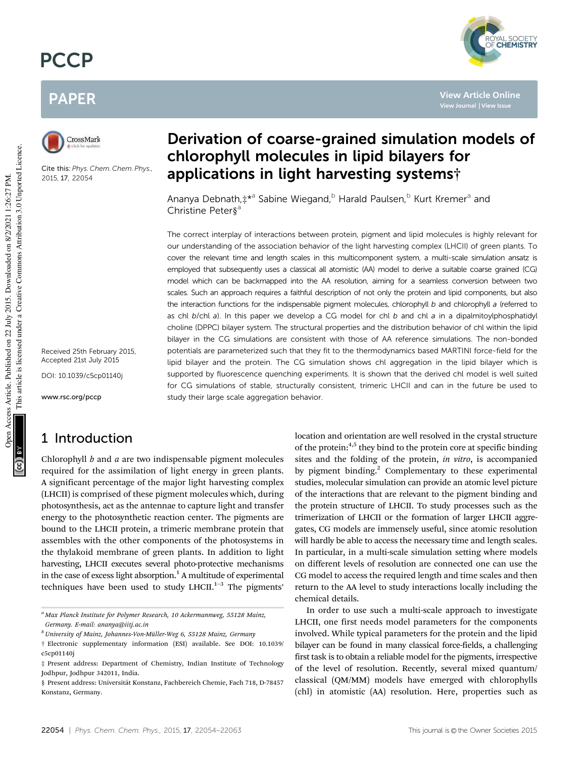# **PCCP**





Cite this: *Phys. Chem. Chem. Phys.,* 2015, 17, 22054

Received 25th February 2015, Accepted 21st July 2015

DOI: 10.1039/c5cp01140j

1 Introduction

www.rsc.org/pccp

## Derivation of coarse-grained simulation models of chlorophyll molecules in lipid bilayers for applications in light harvesting systems†

Ananya Debnath, $\ddagger^{\star^{\rm a}}$  Sabine Wiegand,<sup>b</sup> Harald Paulsen,<sup>b</sup> Kurt Kremer<sup>a</sup> and Christine Peter§<sup>a</sup>

The correct interplay of interactions between protein, pigment and lipid molecules is highly relevant for our understanding of the association behavior of the light harvesting complex (LHCII) of green plants. To cover the relevant time and length scales in this multicomponent system, a multi-scale simulation ansatz is employed that subsequently uses a classical all atomistic (AA) model to derive a suitable coarse grained (CG) model which can be backmapped into the AA resolution, aiming for a seamless conversion between two scales. Such an approach requires a faithful description of not only the protein and lipid components, but also the interaction functions for the indispensable pigment molecules, chlorophyll b and chlorophyll a (referred to as chl  $b$ /chl a). In this paper we develop a CG model for chl  $b$  and chl a in a dipalmitoylphosphatidyl choline (DPPC) bilayer system. The structural properties and the distribution behavior of chl within the lipid bilayer in the CG simulations are consistent with those of AA reference simulations. The non-bonded potentials are parameterized such that they fit to the thermodynamics based MARTINI force-field for the lipid bilayer and the protein. The CG simulation shows chl aggregation in the lipid bilayer which is supported by fluorescence quenching experiments. It is shown that the derived chl model is well suited for CG simulations of stable, structurally consistent, trimeric LHCII and can in the future be used to study their large scale aggregation behavior.

Chlorophyll *b* and *a* are two indispensable pigment molecules required for the assimilation of light energy in green plants. A significant percentage of the major light harvesting complex (LHCII) is comprised of these pigment molecules which, during photosynthesis, act as the antennae to capture light and transfer energy to the photosynthetic reaction center. The pigments are bound to the LHCII protein, a trimeric membrane protein that assembles with the other components of the photosystems in the thylakoid membrane of green plants. In addition to light harvesting, LHCII executes several photo-protective mechanisms in the case of excess light absorption.<sup>1</sup> A multitude of experimental techniques have been used to study  $LHCl<sup>1-3</sup>$  The pigments'

location and orientation are well resolved in the crystal structure of the protein:4,5 they bind to the protein core at specific binding sites and the folding of the protein, *in vitro*, is accompanied by pigment binding.<sup>2</sup> Complementary to these experimental studies, molecular simulation can provide an atomic level picture of the interactions that are relevant to the pigment binding and the protein structure of LHCII. To study processes such as the trimerization of LHCII or the formation of larger LHCII aggregates, CG models are immensely useful, since atomic resolution will hardly be able to access the necessary time and length scales. In particular, in a multi-scale simulation setting where models on different levels of resolution are connected one can use the CG model to access the required length and time scales and then return to the AA level to study interactions locally including the chemical details.

In order to use such a multi-scale approach to investigate LHCII, one first needs model parameters for the components involved. While typical parameters for the protein and the lipid bilayer can be found in many classical force-fields, a challenging first task is to obtain a reliable model for the pigments, irrespective of the level of resolution. Recently, several mixed quantum/ classical (QM/MM) models have emerged with chlorophylls (chl) in atomistic (AA) resolution. Here, properties such as

**View Article Online**

YAL SOCIETY<br>**CHEMISTRY** 

*<sup>a</sup> Max Planck Institute for Polymer Research, 10 Ackermannweg, 55128 Mainz, Germany. E-mail: ananya@iitj.ac.in*

*<sup>b</sup> University of Mainz, Johannes-Von-Mu¨ller-Weg 6, 55128 Mainz, Germany*

<sup>†</sup> Electronic supplementary information (ESI) available. See DOI: 10.1039/ c5cp01140j

<sup>‡</sup> Present address: Department of Chemistry, Indian Institute of Technology Jodhpur, Jodhpur 342011, India.

<sup>§</sup> Present address: Universität Konstanz, Fachbereich Chemie, Fach 718, D-78457 Konstanz, Germany.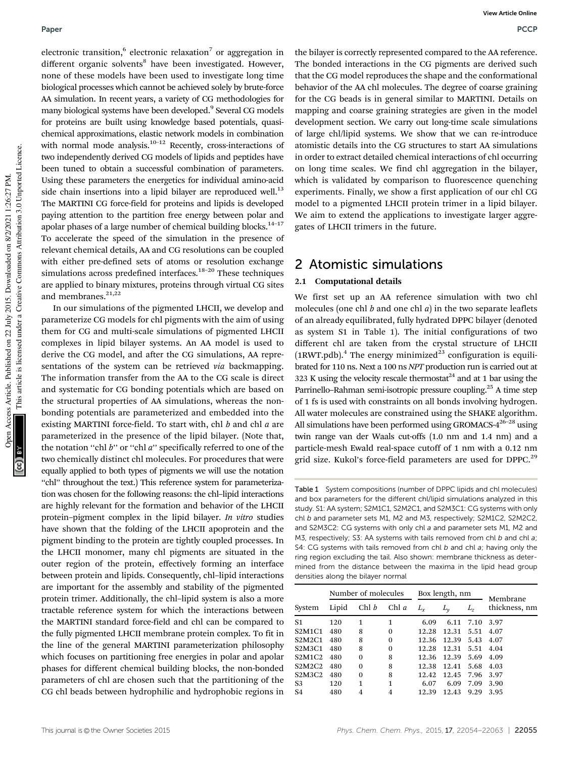electronic transition, <sup>6</sup> electronic relaxation<sup>7</sup> or aggregation in different organic solvents<sup>8</sup> have been investigated. However, none of these models have been used to investigate long time biological processes which cannot be achieved solely by brute-force AA simulation. In recent years, a variety of CG methodologies for many biological systems have been developed.<sup>9</sup> Several CG models for proteins are built using knowledge based potentials, quasichemical approximations, elastic network models in combination with normal mode analysis.<sup>10–12</sup> Recently, cross-interactions of two independently derived CG models of lipids and peptides have been tuned to obtain a successful combination of parameters. Using these parameters the energetics for individual amino-acid side chain insertions into a lipid bilayer are reproduced well. $^{13}$ The MARTINI CG force-field for proteins and lipids is developed paying attention to the partition free energy between polar and apolar phases of a large number of chemical building blocks.<sup>14-17</sup> To accelerate the speed of the simulation in the presence of relevant chemical details, AA and CG resolutions can be coupled with either pre-defined sets of atoms or resolution exchange simulations across predefined interfaces.<sup>18-20</sup> These techniques are applied to binary mixtures, proteins through virtual CG sites and membranes.<sup>21,22</sup>

In our simulations of the pigmented LHCII, we develop and parameterize CG models for chl pigments with the aim of using them for CG and multi-scale simulations of pigmented LHCII complexes in lipid bilayer systems. An AA model is used to derive the CG model, and after the CG simulations, AA representations of the system can be retrieved *via* backmapping. The information transfer from the AA to the CG scale is direct and systematic for CG bonding potentials which are based on the structural properties of AA simulations, whereas the nonbonding potentials are parameterized and embedded into the existing MARTINI force-field. To start with, chl *b* and chl *a* are parameterized in the presence of the lipid bilayer. (Note that, the notation ''chl *b*'' or ''chl *a*'' specifically referred to one of the two chemically distinct chl molecules. For procedures that were equally applied to both types of pigments we will use the notation ''chl'' throughout the text.) This reference system for parameterization was chosen for the following reasons: the chl–lipid interactions are highly relevant for the formation and behavior of the LHCII protein–pigment complex in the lipid bilayer. *In vitro* studies have shown that the folding of the LHCII apoprotein and the pigment binding to the protein are tightly coupled processes. In the LHCII monomer, many chl pigments are situated in the outer region of the protein, effectively forming an interface between protein and lipids. Consequently, chl–lipid interactions are important for the assembly and stability of the pigmented protein trimer. Additionally, the chl–lipid system is also a more tractable reference system for which the interactions between the MARTINI standard force-field and chl can be compared to the fully pigmented LHCII membrane protein complex. To fit in the line of the general MARTINI parameterization philosophy which focuses on partitioning free energies in polar and apolar phases for different chemical building blocks, the non-bonded parameters of chl are chosen such that the partitioning of the CG chl beads between hydrophilic and hydrophobic regions in

the bilayer is correctly represented compared to the AA reference. The bonded interactions in the CG pigments are derived such that the CG model reproduces the shape and the conformational behavior of the AA chl molecules. The degree of coarse graining for the CG beads is in general similar to MARTINI. Details on mapping and coarse graining strategies are given in the model development section. We carry out long-time scale simulations of large chl/lipid systems. We show that we can re-introduce atomistic details into the CG structures to start AA simulations in order to extract detailed chemical interactions of chl occurring on long time scales. We find chl aggregation in the bilayer, which is validated by comparison to fluorescence quenching experiments. Finally, we show a first application of our chl CG model to a pigmented LHCII protein trimer in a lipid bilayer. We aim to extend the applications to investigate larger aggregates of LHCII trimers in the future.

## 2 Atomistic simulations

### 2.1 Computational details

We first set up an AA reference simulation with two chl molecules (one chl *b* and one chl *a*) in the two separate leaflets of an already equilibrated, fully hydrated DPPC bilayer (denoted as system S1 in Table 1). The initial configurations of two different chl are taken from the crystal structure of LHCII  $(1 RWT.pdb).$ <sup>4</sup> The energy minimized<sup>23</sup> configuration is equilibrated for 110 ns. Next a 100 ns *NPT* production run is carried out at 323 K using the velocity rescale thermostat<sup>24</sup> and at 1 bar using the Parrinello–Rahman semi-isotropic pressure coupling.<sup>25</sup> A time step of 1 fs is used with constraints on all bonds involving hydrogen. All water molecules are constrained using the SHAKE algorithm. All simulations have been performed using GROMACS- $4^{26-28}$  using twin range van der Waals cut-offs (1.0 nm and 1.4 nm) and a particle-mesh Ewald real-space cutoff of 1 nm with a 0.12 nm grid size. Kukol's force-field parameters are used for DPPC.<sup>29</sup>

Table 1 System compositions (number of DPPC lipids and chl molecules) and box parameters for the different chl/lipid simulations analyzed in this study. S1: AA system; S2M1C1, S2M2C1, and S2M3C1: CG systems with only chl b and parameter sets M1, M2 and M3, respectively; S2M1C2, S2M2C2, and S2M3C2: CG systems with only chl a and parameter sets M1, M2 and M3, respectively; S3: AA systems with tails removed from chl b and chl a; S4: CG systems with tails removed from chl b and chl a; having only the ring region excluding the tail. Also shown: membrane thickness as determined from the distance between the maxima in the lipid head group densities along the bilayer normal

|                                              | Number of molecules |          |          | Box length, nm |       |       | Membrane      |
|----------------------------------------------|---------------------|----------|----------|----------------|-------|-------|---------------|
| System                                       | Lipid               | Chl b    | Chl $a$  | $L_x$          | $L_v$ | $L_z$ | thickness, nm |
| S <sub>1</sub>                               | 120                 | 1        | 1        | 6.09           | 6.11  | 7.10  | 3.97          |
| <b>S2M1C1</b>                                | 480                 | 8        | $\Omega$ | 12.28          | 12.31 | 5.51  | 4.07          |
| S <sub>2</sub> M <sub>2</sub> C <sub>1</sub> | 480                 | 8        | $\Omega$ | 12.36          | 12.39 | 5.43  | 4.07          |
| S <sub>2</sub> M <sub>3</sub> C <sub>1</sub> | 480                 | 8        | $\Omega$ | 12.28          | 12.31 | 5.51  | 4.04          |
| S2M1C2                                       | 480                 | $\Omega$ | 8        | 12.36          | 12.39 | 5.69  | 4.09          |
| S2M2C2                                       | 480                 | $\Omega$ | 8        | 12.38          | 12.41 | 5.68  | 4.03          |
| S <sub>2</sub> M <sub>3</sub> C <sub>2</sub> | 480                 | $\Omega$ | 8        | 12.42          | 12.45 | 7.96  | 3.97          |
| S3                                           | 120                 | 1        | 1        | 6.07           | 6.09  | 7.09  | 3.90          |
| S <sub>4</sub>                               | 480                 | 4        |          | 12.39          | 12.43 | 9.29  | 3.95          |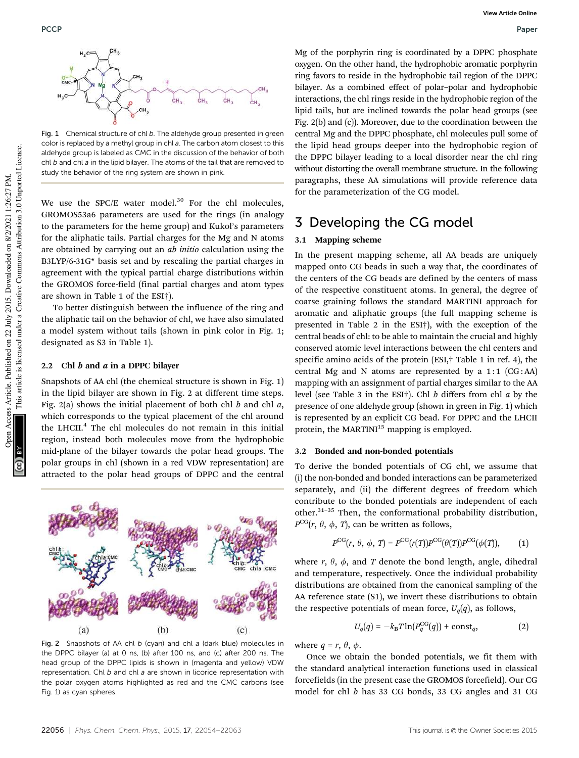

Fig. 1 Chemical structure of chl b. The aldehyde group presented in green color is replaced by a methyl group in chl a. The carbon atom closest to this aldehyde group is labeled as CMC in the discussion of the behavior of both chl b and chl a in the lipid bilayer. The atoms of the tail that are removed to study the behavior of the ring system are shown in pink.

We use the SPC/E water model. $30$  For the chl molecules, GROMOS53a6 parameters are used for the rings (in analogy to the parameters for the heme group) and Kukol's parameters for the aliphatic tails. Partial charges for the Mg and N atoms are obtained by carrying out an *ab initio* calculation using the B3LYP/6-31G\* basis set and by rescaling the partial charges in agreement with the typical partial charge distributions within the GROMOS force-field (final partial charges and atom types are shown in Table 1 of the ESI†).

To better distinguish between the influence of the ring and the aliphatic tail on the behavior of chl, we have also simulated a model system without tails (shown in pink color in Fig. 1; designated as S3 in Table 1).

#### 2.2 Chl  $b$  and  $a$  in a DPPC bilayer

Snapshots of AA chl (the chemical structure is shown in Fig. 1) in the lipid bilayer are shown in Fig. 2 at different time steps. Fig. 2(a) shows the initial placement of both chl *b* and chl *a*, which corresponds to the typical placement of the chl around the LHCII.<sup>4</sup> The chl molecules do not remain in this initial region, instead both molecules move from the hydrophobic mid-plane of the bilayer towards the polar head groups. The polar groups in chl (shown in a red VDW representation) are attracted to the polar head groups of DPPC and the central



Fig. 2 Snapshots of AA chl b (cyan) and chl a (dark blue) molecules in the DPPC bilayer (a) at 0 ns, (b) after 100 ns, and (c) after 200 ns. The head group of the DPPC lipids is shown in (magenta and yellow) VDW representation. Chl b and chl a are shown in licorice representation with the polar oxygen atoms highlighted as red and the CMC carbons (see Fig. 1) as cyan spheres.

Mg of the porphyrin ring is coordinated by a DPPC phosphate oxygen. On the other hand, the hydrophobic aromatic porphyrin ring favors to reside in the hydrophobic tail region of the DPPC bilayer. As a combined effect of polar–polar and hydrophobic interactions, the chl rings reside in the hydrophobic region of the lipid tails, but are inclined towards the polar head groups (see Fig. 2(b) and (c)). Moreover, due to the coordination between the central Mg and the DPPC phosphate, chl molecules pull some of the lipid head groups deeper into the hydrophobic region of the DPPC bilayer leading to a local disorder near the chl ring without distorting the overall membrane structure. In the following paragraphs, these AA simulations will provide reference data for the parameterization of the CG model.

## 3 Developing the CG model

### 3.1 Mapping scheme

In the present mapping scheme, all AA beads are uniquely mapped onto CG beads in such a way that, the coordinates of the centers of the CG beads are defined by the centers of mass of the respective constituent atoms. In general, the degree of coarse graining follows the standard MARTINI approach for aromatic and aliphatic groups (the full mapping scheme is presented in Table 2 in the ESI†), with the exception of the central beads of chl: to be able to maintain the crucial and highly conserved atomic level interactions between the chl centers and specific amino acids of the protein (ESI,† Table 1 in ref. 4), the central Mg and N atoms are represented by a  $1:1$  (CG:AA) mapping with an assignment of partial charges similar to the AA level (see Table 3 in the ESI†). Chl *b* differs from chl *a* by the presence of one aldehyde group (shown in green in Fig. 1) which is represented by an explicit CG bead. For DPPC and the LHCII protein, the MARTINI $15$  mapping is employed.

#### 3.2 Bonded and non-bonded potentials

To derive the bonded potentials of CG chl, we assume that (i) the non-bonded and bonded interactions can be parameterized separately, and (ii) the different degrees of freedom which contribute to the bonded potentials are independent of each other. $31-35$  Then, the conformational probability distribution,  $P^{\text{CG}}(r, \theta, \phi, T)$ , can be written as follows,

$$
P^{CG}(r, \theta, \phi, T) = P^{CG}(r(T))P^{CG}(\theta(T))P^{CG}(\phi(T)),
$$
 (1)

where  $r$ ,  $\theta$ ,  $\phi$ , and *T* denote the bond length, angle, dihedral and temperature, respectively. Once the individual probability distributions are obtained from the canonical sampling of the AA reference state (S1), we invert these distributions to obtain the respective potentials of mean force, *U<sup>q</sup>* (*q*), as follows,

$$
U_q(q) = -k_{\rm B}T\ln(P_q^{\rm CG}(q)) + \text{const}_q,\tag{2}
$$

where  $q = r, \theta, \phi$ .

Once we obtain the bonded potentials, we fit them with the standard analytical interaction functions used in classical forcefields (in the present case the GROMOS forcefield). Our CG model for chl *b* has 33 CG bonds, 33 CG angles and 31 CG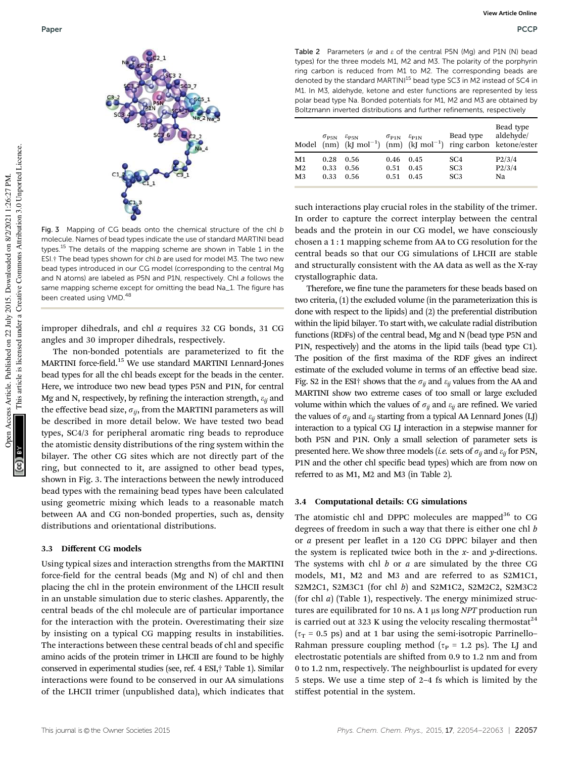

Fig. 3 Mapping of CG beads onto the chemical structure of the chl b molecule. Names of bead types indicate the use of standard MARTINI bead types.<sup>15</sup> The details of the mapping scheme are shown in Table 1 in the ESI.† The bead types shown for chl b are used for model M3. The two new bead types introduced in our CG model (corresponding to the central Mg and N atoms) are labeled as P5N and P1N, respectively. Chl a follows the same mapping scheme except for omitting the bead Na\_1. The figure has been created using VMD.<sup>48</sup>

improper dihedrals, and chl *a* requires 32 CG bonds, 31 CG angles and 30 improper dihedrals, respectively.

The non-bonded potentials are parameterized to fit the MARTINI force-field.<sup>15</sup> We use standard MARTINI Lennard-Jones bead types for all the chl beads except for the beads in the center. Here, we introduce two new bead types P5N and P1N, for central Mg and N, respectively, by refining the interaction strength,  $\varepsilon_{ij}$  and the effective bead size,  $\sigma_{ij}$ , from the MARTINI parameters as will be described in more detail below. We have tested two bead types, SC4/3 for peripheral aromatic ring beads to reproduce the atomistic density distributions of the ring system within the bilayer. The other CG sites which are not directly part of the ring, but connected to it, are assigned to other bead types, shown in Fig. 3. The interactions between the newly introduced bead types with the remaining bead types have been calculated using geometric mixing which leads to a reasonable match between AA and CG non-bonded properties, such as, density distributions and orientational distributions.

### 3.3 Different CG models

Using typical sizes and interaction strengths from the MARTINI force-field for the central beads (Mg and N) of chl and then placing the chl in the protein environment of the LHCII result in an unstable simulation due to steric clashes. Apparently, the central beads of the chl molecule are of particular importance for the interaction with the protein. Overestimating their size by insisting on a typical CG mapping results in instabilities. The interactions between these central beads of chl and specific amino acids of the protein trimer in LHCII are found to be highly conserved in experimental studies (see, ref. 4 ESI,† Table 1). Similar interactions were found to be conserved in our AA simulations of the LHCII trimer (unpublished data), which indicates that Table 2 Parameters ( $\sigma$  and  $\varepsilon$  of the central P5N (Mg) and P1N (N) bead types) for the three models M1, M2 and M3. The polarity of the porphyrin ring carbon is reduced from M1 to M2. The corresponding beads are denoted by the standard MARTINI<sup>15</sup> bead type SC3 in M2 instead of SC4 in M1. In M3, aldehyde, ketone and ester functions are represented by less polar bead type Na. Bonded potentials for M1, M2 and M3 are obtained by Boltzmann inverted distributions and further refinements, respectively

|                | $\sigma_{\rm PSN}$ $\varepsilon_{\rm PSN}$ |      |      | $\sigma_{\text{PIN}}$ $\varepsilon_{\text{PIN}}$ | Bead type aldehyde/<br>Model (nm) (kJ mol <sup>-1</sup> ) (nm) (kJ mol <sup>-1</sup> ) ring carbon ketone/ester | Bead type |
|----------------|--------------------------------------------|------|------|--------------------------------------------------|-----------------------------------------------------------------------------------------------------------------|-----------|
| M1             | 0.28                                       | 0.56 | 0.46 | 0.45                                             | SC <sub>4</sub>                                                                                                 | P2/3/4    |
| M <sub>2</sub> | 0.33                                       | 0.56 | 0.51 | 0.45                                             | SC <sub>3</sub>                                                                                                 | P2/3/4    |
| M <sub>3</sub> | 0.33                                       | 0.56 | 0.51 | 0.45                                             | SC <sub>3</sub>                                                                                                 | Na        |

such interactions play crucial roles in the stability of the trimer. In order to capture the correct interplay between the central beads and the protein in our CG model, we have consciously chosen a 1 : 1 mapping scheme from AA to CG resolution for the central beads so that our CG simulations of LHCII are stable and structurally consistent with the AA data as well as the X-ray crystallographic data.

Therefore, we fine tune the parameters for these beads based on two criteria, (1) the excluded volume (in the parameterization this is done with respect to the lipids) and (2) the preferential distribution within the lipid bilayer. To start with, we calculate radial distribution functions (RDFs) of the central bead, Mg and N (bead type P5N and P1N, respectively) and the atoms in the lipid tails (bead type C1). The position of the first maxima of the RDF gives an indirect estimate of the excluded volume in terms of an effective bead size. Fig. S2 in the ESI† shows that the  $\sigma_{ij}$  and  $\varepsilon_{ij}$  values from the AA and MARTINI show two extreme cases of too small or large excluded volume within which the values of  $\sigma_{ij}$  and  $\varepsilon_{ij}$  are refined. We varied the values of  $\sigma_{ij}$  and  $\varepsilon_{ij}$  starting from a typical AA Lennard Jones (LJ) interaction to a typical CG LJ interaction in a stepwise manner for both P5N and P1N. Only a small selection of parameter sets is presented here. We show three models (*i.e.* sets of  $\sigma_{ii}$  and  $\varepsilon_{ii}$  for P5N, P1N and the other chl specific bead types) which are from now on referred to as M1, M2 and M3 (in Table 2).

#### 3.4 Computational details: CG simulations

The atomistic chl and DPPC molecules are mapped<sup>36</sup> to CG degrees of freedom in such a way that there is either one chl *b* or *a* present per leaflet in a 120 CG DPPC bilayer and then the system is replicated twice both in the *x*- and *y*-directions. The systems with chl *b* or *a* are simulated by the three CG models, M1, M2 and M3 and are referred to as S2M1C1, S2M2C1, S2M3C1 (for chl *b*) and S2M1C2, S2M2C2, S2M3C2 (for chl *a*) (Table 1), respectively. The energy minimized structures are equilibrated for 10 ns. A 1 µs long *NPT* production run is carried out at 323 K using the velocity rescaling thermostat<sup>24</sup>  $(\tau_T = 0.5 \text{ ps})$  and at 1 bar using the semi-isotropic Parrinello– Rahman pressure coupling method ( $\tau_P$  = 1.2 ps). The LJ and electrostatic potentials are shifted from 0.9 to 1.2 nm and from 0 to 1.2 nm, respectively. The neighbourlist is updated for every 5 steps. We use a time step of 2–4 fs which is limited by the stiffest potential in the system.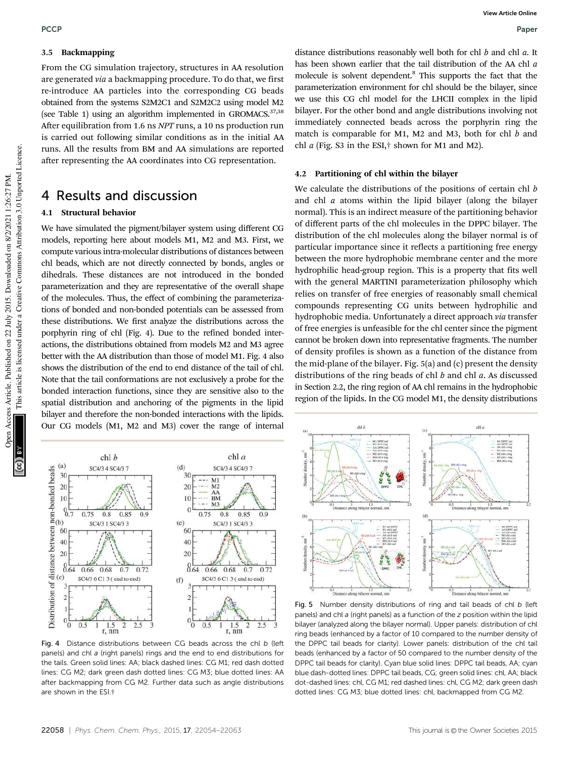#### 3.5 Backmapping

From the CG simulation trajectory, structures in AA resolution are generated *via* a backmapping procedure. To do that, we first re-introduce AA particles into the corresponding CG beads obtained from the systems S2M2C1 and S2M2C2 using model M2 (see Table 1) using an algorithm implemented in GROMACS. $37,38$ After equilibration from 1.6 ns *NPT* runs, a 10 ns production run is carried out following similar conditions as in the initial AA runs. All the results from BM and AA simulations are reported after representing the AA coordinates into CG representation.

## 4 Results and discussion

### 4.1 Structural behavior

We have simulated the pigment/bilayer system using different CG models, reporting here about models M1, M2 and M3. First, we compute various intra-molecular distributions of distances between chl beads, which are not directly connected by bonds, angles or dihedrals. These distances are not introduced in the bonded parameterization and they are representative of the overall shape of the molecules. Thus, the effect of combining the parameterizations of bonded and non-bonded potentials can be assessed from these distributions. We first analyze the distributions across the porphyrin ring of chl (Fig. 4). Due to the refined bonded interactions, the distributions obtained from models M2 and M3 agree better with the AA distribution than those of model M1. Fig. 4 also shows the distribution of the end to end distance of the tail of chl. Note that the tail conformations are not exclusively a probe for the bonded interaction functions, since they are sensitive also to the spatial distribution and anchoring of the pigments in the lipid bilayer and therefore the non-bonded interactions with the lipids. Our CG models (M1, M2 and M3) cover the range of internal



Fig. 4 Distance distributions between CG beads across the chl b (left panels) and chl a (right panels) rings and the end to end distributions for the tails. Green solid lines: AA; black dashed lines: CG M1; red dash dotted lines: CG M2; dark green dash dotted lines: CG M3; blue dotted lines: AA after backmapping from CG M2. Further data such as angle distributions are shown in the ESI.†

distance distributions reasonably well both for chl *b* and chl *a*. It has been shown earlier that the tail distribution of the AA chl *a* molecule is solvent dependent.<sup>8</sup> This supports the fact that the parameterization environment for chl should be the bilayer, since we use this CG chl model for the LHCII complex in the lipid bilayer. For the other bond and angle distributions involving not immediately connected beads across the porphyrin ring the match is comparable for M1, M2 and M3, both for chl *b* and chl  $a$  (Fig. S3 in the ESI, $\dagger$  shown for M1 and M2).

#### 4.2 Partitioning of chl within the bilayer

We calculate the distributions of the positions of certain chl *b* and chl *a* atoms within the lipid bilayer (along the bilayer normal). This is an indirect measure of the partitioning behavior of different parts of the chl molecules in the DPPC bilayer. The distribution of the chl molecules along the bilayer normal is of particular importance since it reflects a partitioning free energy between the more hydrophobic membrane center and the more hydrophilic head-group region. This is a property that fits well with the general MARTINI parameterization philosophy which relies on transfer of free energies of reasonably small chemical compounds representing CG units between hydrophilic and hydrophobic media. Unfortunately a direct approach *via* transfer of free energies is unfeasible for the chl center since the pigment cannot be broken down into representative fragments. The number of density profiles is shown as a function of the distance from the mid-plane of the bilayer. Fig. 5(a) and (c) present the density distributions of the ring beads of chl *b* and chl *a*. As discussed in Section 2.2, the ring region of AA chl remains in the hydrophobic region of the lipids. In the CG model M1, the density distributions



Fig. 5 Number density distributions of ring and tail beads of chl b (left panels) and chl a (right panels) as a function of the z position within the lipid bilayer (analyzed along the bilayer normal). Upper panels: distribution of chl ring beads (enhanced by a factor of 10 compared to the number density of the DPPC tail beads for clarity). Lower panels: distribution of the chl tail beads (enhanced by a factor of 50 compared to the number density of the DPPC tail beads for clarity). Cyan blue solid lines: DPPC tail beads, AA; cyan blue dash-dotted lines: DPPC tail beads, CG; green solid lines: chl, AA; black dot-dashed lines: chl, CG M1; red dashed lines: chl, CG M2; dark green dash dotted lines: CG M3; blue dotted lines: chl, backmapped from CG M2.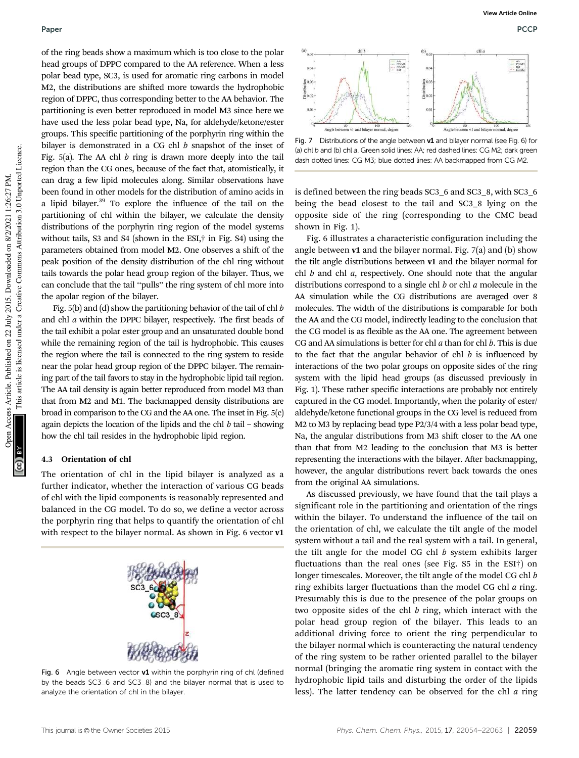of the ring beads show a maximum which is too close to the polar head groups of DPPC compared to the AA reference. When a less polar bead type, SC3, is used for aromatic ring carbons in model M2, the distributions are shifted more towards the hydrophobic region of DPPC, thus corresponding better to the AA behavior. The partitioning is even better reproduced in model M3 since here we have used the less polar bead type, Na, for aldehyde/ketone/ester groups. This specific partitioning of the porphyrin ring within the bilayer is demonstrated in a CG chl *b* snapshot of the inset of Fig. 5(a). The AA chl *b* ring is drawn more deeply into the tail region than the CG ones, because of the fact that, atomistically, it can drag a few lipid molecules along. Similar observations have been found in other models for the distribution of amino acids in a lipid bilayer.<sup>39</sup> To explore the influence of the tail on the partitioning of chl within the bilayer, we calculate the density distributions of the porphyrin ring region of the model systems without tails, S3 and S4 (shown in the ESI,† in Fig. S4) using the parameters obtained from model M2. One observes a shift of the peak position of the density distribution of the chl ring without tails towards the polar head group region of the bilayer. Thus, we can conclude that the tail ''pulls'' the ring system of chl more into the apolar region of the bilayer.

Fig. 5(b) and (d) show the partitioning behavior of the tail of chl *b* and chl *a* within the DPPC bilayer, respectively. The first beads of the tail exhibit a polar ester group and an unsaturated double bond while the remaining region of the tail is hydrophobic. This causes the region where the tail is connected to the ring system to reside near the polar head group region of the DPPC bilayer. The remaining part of the tail favors to stay in the hydrophobic lipid tail region. The AA tail density is again better reproduced from model M3 than that from M2 and M1. The backmapped density distributions are broad in comparison to the CG and the AA one. The inset in Fig. 5(c) again depicts the location of the lipids and the chl *b* tail – showing how the chl tail resides in the hydrophobic lipid region.

#### 4.3 Orientation of chl

The orientation of chl in the lipid bilayer is analyzed as a further indicator, whether the interaction of various CG beads of chl with the lipid components is reasonably represented and balanced in the CG model. To do so, we define a vector across the porphyrin ring that helps to quantify the orientation of chl with respect to the bilayer normal. As shown in Fig. 6 vector v1



Fig. 6 Angle between vector v1 within the porphyrin ring of chl (defined by the beads SC3\_6 and SC3\_8) and the bilayer normal that is used to analyze the orientation of chl in the bilayer.



Fig. 7 Distributions of the angle between v1 and bilayer normal (see Fig. 6) for (a) chl b and (b) chl a. Green solid lines: AA; red dashed lines: CG M2; dark green dash dotted lines: CG M3; blue dotted lines: AA backmapped from CG M2.

is defined between the ring beads SC3\_6 and SC3\_8, with SC3\_6 being the bead closest to the tail and SC3\_8 lying on the opposite side of the ring (corresponding to the CMC bead shown in Fig. 1).

Fig. 6 illustrates a characteristic configuration including the angle between  $v1$  and the bilayer normal. Fig. 7(a) and (b) show the tilt angle distributions between v1 and the bilayer normal for chl *b* and chl *a*, respectively. One should note that the angular distributions correspond to a single chl *b* or chl *a* molecule in the AA simulation while the CG distributions are averaged over 8 molecules. The width of the distributions is comparable for both the AA and the CG model, indirectly leading to the conclusion that the CG model is as flexible as the AA one. The agreement between CG and AA simulations is better for chl *a* than for chl *b*. This is due to the fact that the angular behavior of chl *b* is influenced by interactions of the two polar groups on opposite sides of the ring system with the lipid head groups (as discussed previously in Fig. 1). These rather specific interactions are probably not entirely captured in the CG model. Importantly, when the polarity of ester/ aldehyde/ketone functional groups in the CG level is reduced from M2 to M3 by replacing bead type P2/3/4 with a less polar bead type, Na, the angular distributions from M3 shift closer to the AA one than that from M2 leading to the conclusion that M3 is better representing the interactions with the bilayer. After backmapping, however, the angular distributions revert back towards the ones from the original AA simulations.

As discussed previously, we have found that the tail plays a significant role in the partitioning and orientation of the rings within the bilayer. To understand the influence of the tail on the orientation of chl, we calculate the tilt angle of the model system without a tail and the real system with a tail. In general, the tilt angle for the model CG chl *b* system exhibits larger fluctuations than the real ones (see Fig. S5 in the ESI†) on longer timescales. Moreover, the tilt angle of the model CG chl *b* ring exhibits larger fluctuations than the model CG chl *a* ring. Presumably this is due to the presence of the polar groups on two opposite sides of the chl *b* ring, which interact with the polar head group region of the bilayer. This leads to an additional driving force to orient the ring perpendicular to the bilayer normal which is counteracting the natural tendency of the ring system to be rather oriented parallel to the bilayer normal (bringing the aromatic ring system in contact with the hydrophobic lipid tails and disturbing the order of the lipids less). The latter tendency can be observed for the chl *a* ring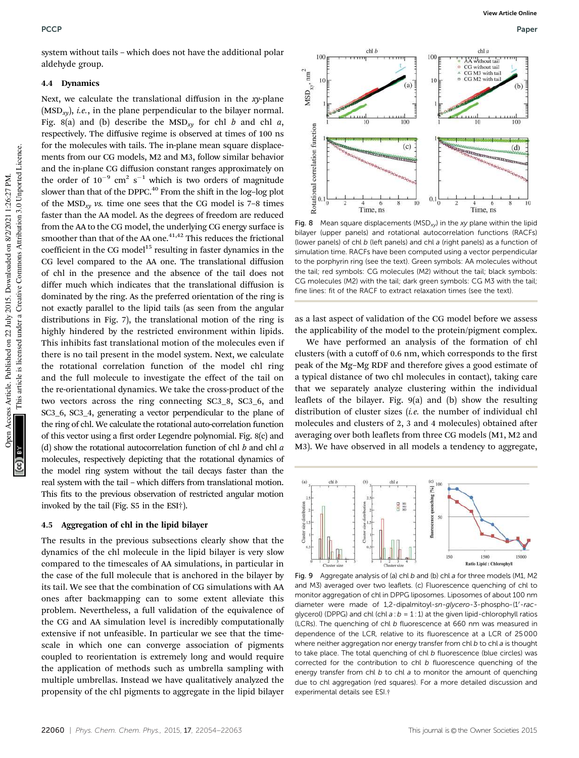system without tails – which does not have the additional polar aldehyde group.

#### 4.4 Dynamics

Next, we calculate the translational diffusion in the *xy*-plane (MSD*xy*), *i.e.*, in the plane perpendicular to the bilayer normal. Fig. 8(a) and (b) describe the  $MSD_{xy}$  for chl *b* and chl *a*, respectively. The diffusive regime is observed at times of 100 ns for the molecules with tails. The in-plane mean square displacements from our CG models, M2 and M3, follow similar behavior and the in-plane CG diffusion constant ranges approximately on the order of  $10^{-9}$  cm<sup>2</sup> s<sup>-1</sup> which is two orders of magnitude slower than that of the DPPC.<sup>40</sup> From the shift in the log-log plot of the  $MSD_{xy}$  *vs.* time one sees that the CG model is 7-8 times faster than the AA model. As the degrees of freedom are reduced from the AA to the CG model, the underlying CG energy surface is smoother than that of the AA one. $41,42$  This reduces the frictional coefficient in the CG model<sup>15</sup> resulting in faster dynamics in the CG level compared to the AA one. The translational diffusion of chl in the presence and the absence of the tail does not differ much which indicates that the translational diffusion is dominated by the ring. As the preferred orientation of the ring is not exactly parallel to the lipid tails (as seen from the angular distributions in Fig. 7), the translational motion of the ring is highly hindered by the restricted environment within lipids. This inhibits fast translational motion of the molecules even if there is no tail present in the model system. Next, we calculate the rotational correlation function of the model chl ring and the full molecule to investigate the effect of the tail on the re-orientational dynamics. We take the cross-product of the two vectors across the ring connecting SC3\_8, SC3\_6, and SC3\_6, SC3\_4, generating a vector perpendicular to the plane of the ring of chl. We calculate the rotational auto-correlation function of this vector using a first order Legendre polynomial. Fig. 8(c) and (d) show the rotational autocorrelation function of chl *b* and chl *a* molecules, respectively depicting that the rotational dynamics of the model ring system without the tail decays faster than the real system with the tail – which differs from translational motion. This fits to the previous observation of restricted angular motion invoked by the tail (Fig. S5 in the ESI†).

#### 4.5 Aggregation of chl in the lipid bilayer

The results in the previous subsections clearly show that the dynamics of the chl molecule in the lipid bilayer is very slow compared to the timescales of AA simulations, in particular in the case of the full molecule that is anchored in the bilayer by its tail. We see that the combination of CG simulations with AA ones after backmapping can to some extent alleviate this problem. Nevertheless, a full validation of the equivalence of the CG and AA simulation level is incredibly computationally extensive if not unfeasible. In particular we see that the timescale in which one can converge association of pigments coupled to reorientation is extremely long and would require the application of methods such as umbrella sampling with multiple umbrellas. Instead we have qualitatively analyzed the propensity of the chl pigments to aggregate in the lipid bilayer



Fig. 8 Mean square displacements (MSD<sub>xy</sub>) in the xy plane within the lipid bilayer (upper panels) and rotational autocorrelation functions (RACFs) (lower panels) of chl b (left panels) and chl a (right panels) as a function of simulation time. RACFs have been computed using a vector perpendicular to the porphyrin ring (see the text). Green symbols: AA molecules without the tail; red symbols: CG molecules (M2) without the tail; black symbols: CG molecules (M2) with the tail; dark green symbols: CG M3 with the tail; fine lines: fit of the RACF to extract relaxation times (see the text).

as a last aspect of validation of the CG model before we assess the applicability of the model to the protein/pigment complex.

We have performed an analysis of the formation of chl clusters (with a cutoff of 0.6 nm, which corresponds to the first peak of the Mg–Mg RDF and therefore gives a good estimate of a typical distance of two chl molecules in contact), taking care that we separately analyze clustering within the individual leaflets of the bilayer. Fig. 9(a) and (b) show the resulting distribution of cluster sizes (*i.e.* the number of individual chl molecules and clusters of 2, 3 and 4 molecules) obtained after averaging over both leaflets from three CG models (M1, M2 and M3). We have observed in all models a tendency to aggregate,



Fig. 9 Aggregate analysis of (a) chl b and (b) chl a for three models (M1, M2 and M3) averaged over two leaflets. (c) Fluorescence quenching of chl to monitor aggregation of chl in DPPG liposomes. Liposomes of about 100 nm diameter were made of 1,2-dipalmitoyl-sn-glycero-3-phospho-(1'-racglycerol) (DPPG) and chl (chl  $a : b = 1 : 1$ ) at the given lipid-chlorophyll ratios (LCRs). The quenching of chl b fluorescence at 660 nm was measured in dependence of the LCR, relative to its fluorescence at a LCR of 25 000 where neither aggregation nor energy transfer from chl b to chl a is thought to take place. The total quenching of chl b fluorescence (blue circles) was corrected for the contribution to chl b fluorescence quenching of the energy transfer from chl  $b$  to chl  $a$  to monitor the amount of quenching due to chl aggregation (red squares). For a more detailed discussion and experimental details see ESI.†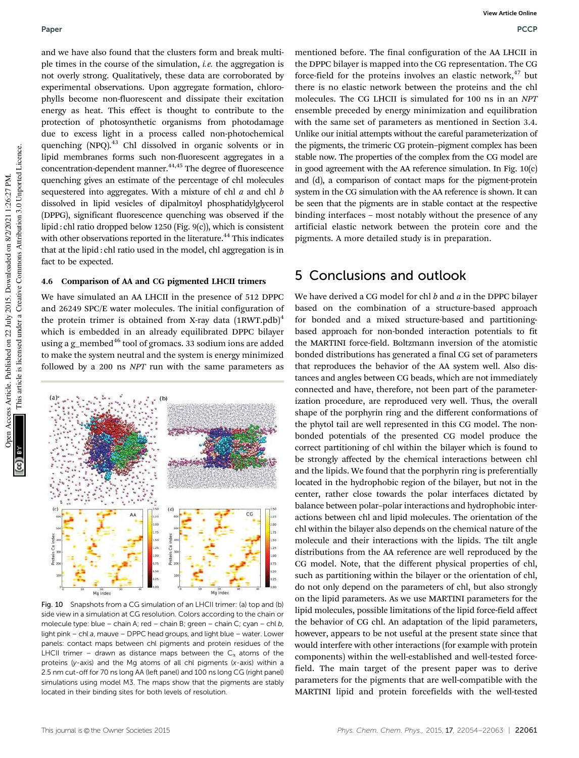and we have also found that the clusters form and break multiple times in the course of the simulation, *i.e.* the aggregation is not overly strong. Qualitatively, these data are corroborated by experimental observations. Upon aggregate formation, chlorophylls become non-fluorescent and dissipate their excitation energy as heat. This effect is thought to contribute to the protection of photosynthetic organisms from photodamage due to excess light in a process called non-photochemical quenching (NPQ).<sup>43</sup> Chl dissolved in organic solvents or in lipid membranes forms such non-fluorescent aggregates in a concentration-dependent manner.<sup>44,45</sup> The degree of fluorescence quenching gives an estimate of the percentage of chl molecules sequestered into aggregates. With a mixture of chl *a* and chl *b* dissolved in lipid vesicles of dipalmitoyl phosphatidylglycerol (DPPG), significant fluorescence quenching was observed if the lipid : chl ratio dropped below 1250 (Fig. 9(c)), which is consistent with other observations reported in the literature.<sup>44</sup> This indicates that at the lipid : chl ratio used in the model, chl aggregation is in fact to be expected.

### 4.6 Comparison of AA and CG pigmented LHCII trimers

We have simulated an AA LHCII in the presence of 512 DPPC and 26249 SPC/E water molecules. The initial configuration of the protein trimer is obtained from X-ray data  $(1RWT.pdf)^4$ which is embedded in an already equilibrated DPPC bilayer using a g\_membed<sup>46</sup> tool of gromacs. 33 sodium ions are added to make the system neutral and the system is energy minimized followed by a 200 ns *NPT* run with the same parameters as



Fig. 10 Snapshots from a CG simulation of an LHCII trimer: (a) top and (b) side view in a simulation at CG resolution. Colors according to the chain or molecule type: blue – chain A; red – chain B; green – chain C; cyan – chl b, light pink – chl a, mauve – DPPC head groups, and light blue – water. Lower panels: contact maps between chl pigments and protein residues of the LHCII trimer – drawn as distance maps between the  $C_{\alpha}$  atoms of the proteins (y-axis) and the Mg atoms of all chl pigments (x-axis) within a 2.5 nm cut-off for 70 ns long AA (left panel) and 100 ns long CG (right panel) simulations using model M3. The maps show that the pigments are stably located in their binding sites for both levels of resolution.

mentioned before. The final configuration of the AA LHCII in the DPPC bilayer is mapped into the CG representation. The CG force-field for the proteins involves an elastic network, $47$  but there is no elastic network between the proteins and the chl molecules. The CG LHCII is simulated for 100 ns in an *NPT* ensemble preceded by energy minimization and equilibration with the same set of parameters as mentioned in Section 3.4. Unlike our initial attempts without the careful parameterization of the pigments, the trimeric CG protein–pigment complex has been stable now. The properties of the complex from the CG model are in good agreement with the AA reference simulation. In Fig. 10(c) and (d), a comparison of contact maps for the pigment-protein system in the CG simulation with the AA reference is shown. It can be seen that the pigments are in stable contact at the respective binding interfaces – most notably without the presence of any artificial elastic network between the protein core and the pigments. A more detailed study is in preparation.

## 5 Conclusions and outlook

We have derived a CG model for chl *b* and *a* in the DPPC bilayer based on the combination of a structure-based approach for bonded and a mixed structure-based and partitioningbased approach for non-bonded interaction potentials to fit the MARTINI force-field. Boltzmann inversion of the atomistic bonded distributions has generated a final CG set of parameters that reproduces the behavior of the AA system well. Also distances and angles between CG beads, which are not immediately connected and have, therefore, not been part of the parameterization procedure, are reproduced very well. Thus, the overall shape of the porphyrin ring and the different conformations of the phytol tail are well represented in this CG model. The nonbonded potentials of the presented CG model produce the correct partitioning of chl within the bilayer which is found to be strongly affected by the chemical interactions between chl and the lipids. We found that the porphyrin ring is preferentially located in the hydrophobic region of the bilayer, but not in the center, rather close towards the polar interfaces dictated by balance between polar–polar interactions and hydrophobic interactions between chl and lipid molecules. The orientation of the chl within the bilayer also depends on the chemical nature of the molecule and their interactions with the lipids. The tilt angle distributions from the AA reference are well reproduced by the CG model. Note, that the different physical properties of chl, such as partitioning within the bilayer or the orientation of chl, do not only depend on the parameters of chl, but also strongly on the lipid parameters. As we use MARTINI parameters for the lipid molecules, possible limitations of the lipid force-field affect the behavior of CG chl. An adaptation of the lipid parameters, however, appears to be not useful at the present state since that would interfere with other interactions (for example with protein components) within the well-established and well-tested forcefield. The main target of the present paper was to derive parameters for the pigments that are well-compatible with the MARTINI lipid and protein forcefields with the well-tested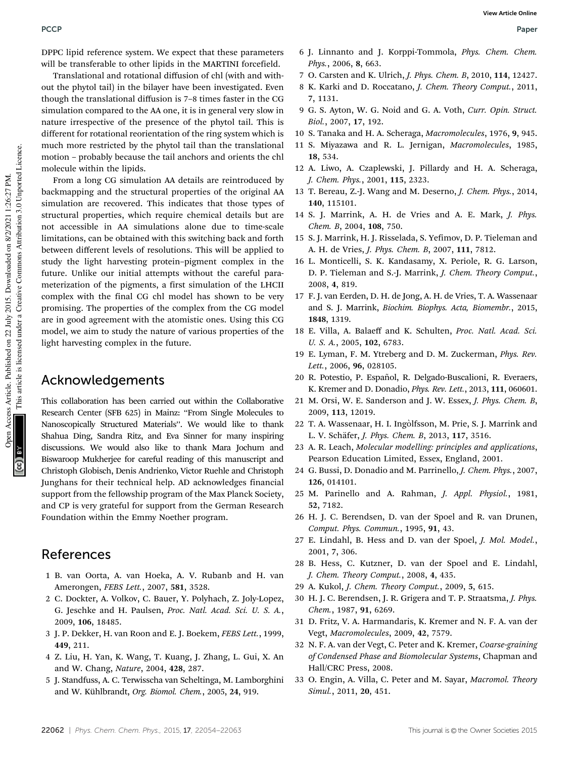DPPC lipid reference system. We expect that these parameters will be transferable to other lipids in the MARTINI forcefield.

Translational and rotational diffusion of chl (with and without the phytol tail) in the bilayer have been investigated. Even though the translational diffusion is 7–8 times faster in the CG simulation compared to the AA one, it is in general very slow in nature irrespective of the presence of the phytol tail. This is different for rotational reorientation of the ring system which is much more restricted by the phytol tail than the translational motion – probably because the tail anchors and orients the chl molecule within the lipids.

From a long CG simulation AA details are reintroduced by backmapping and the structural properties of the original AA simulation are recovered. This indicates that those types of structural properties, which require chemical details but are not accessible in AA simulations alone due to time-scale limitations, can be obtained with this switching back and forth between different levels of resolutions. This will be applied to study the light harvesting protein–pigment complex in the future. Unlike our initial attempts without the careful parameterization of the pigments, a first simulation of the LHCII complex with the final CG chl model has shown to be very promising. The properties of the complex from the CG model are in good agreement with the atomistic ones. Using this CG model, we aim to study the nature of various properties of the light harvesting complex in the future.

## Acknowledgements

This collaboration has been carried out within the Collaborative Research Center (SFB 625) in Mainz: ''From Single Molecules to Nanoscopically Structured Materials''. We would like to thank Shahua Ding, Sandra Ritz, and Eva Sinner for many inspiring discussions. We would also like to thank Mara Jochum and Biswaroop Mukherjee for careful reading of this manuscript and Christoph Globisch, Denis Andrienko, Victor Ruehle and Christoph Junghans for their technical help. AD acknowledges financial support from the fellowship program of the Max Planck Society, and CP is very grateful for support from the German Research Foundation within the Emmy Noether program.

## References

- 1 B. van Oorta, A. van Hoeka, A. V. Rubanb and H. van Amerongen, *FEBS Lett.*, 2007, 581, 3528.
- 2 C. Dockter, A. Volkov, C. Bauer, Y. Polyhach, Z. Joly-Lopez, G. Jeschke and H. Paulsen, *Proc. Natl. Acad. Sci. U. S. A.*, 2009, 106, 18485.
- 3 J. P. Dekker, H. van Roon and E. J. Boekem, *FEBS Lett.*, 1999, 449, 211.
- 4 Z. Liu, H. Yan, K. Wang, T. Kuang, J. Zhang, L. Gui, X. An and W. Chang, *Nature*, 2004, 428, 287.
- 5 J. Standfuss, A. C. Terwisscha van Scheltinga, M. Lamborghini and W. Kühlbrandt, Org. Biomol. Chem., 2005, 24, 919.
- 6 J. Linnanto and J. Korppi-Tommola, *Phys. Chem. Chem. Phys.*, 2006, 8, 663.
- 7 O. Carsten and K. Ulrich, *J. Phys. Chem. B*, 2010, 114, 12427.
- 8 K. Karki and D. Roccatano, *J. Chem. Theory Comput.*, 2011, 7, 1131.
- 9 G. S. Ayton, W. G. Noid and G. A. Voth, *Curr. Opin. Struct. Biol.*, 2007, 17, 192.
- 10 S. Tanaka and H. A. Scheraga, *Macromolecules*, 1976, 9, 945.
- 11 S. Miyazawa and R. L. Jernigan, *Macromolecules*, 1985, 18, 534.
- 12 A. Liwo, A. Czaplewski, J. Pillardy and H. A. Scheraga, *J. Chem. Phys.*, 2001, 115, 2323.
- 13 T. Bereau, Z.-J. Wang and M. Deserno, *J. Chem. Phys.*, 2014, 140, 115101.
- 14 S. J. Marrink, A. H. de Vries and A. E. Mark, *J. Phys. Chem. B*, 2004, 108, 750.
- 15 S. J. Marrink, H. J. Risselada, S. Yefimov, D. P. Tieleman and A. H. de Vries, *J. Phys. Chem. B*, 2007, 111, 7812.
- 16 L. Monticelli, S. K. Kandasamy, X. Periole, R. G. Larson, D. P. Tieleman and S.-J. Marrink, *J. Chem. Theory Comput.*, 2008, 4, 819.
- 17 F. J. van Eerden, D. H. de Jong, A. H. de Vries, T. A. Wassenaar and S. J. Marrink, *Biochim. Biophys. Acta, Biomembr.*, 2015, 1848, 1319.
- 18 E. Villa, A. Balaeff and K. Schulten, *Proc. Natl. Acad. Sci. U. S. A.*, 2005, 102, 6783.
- 19 E. Lyman, F. M. Ytreberg and D. M. Zuckerman, *Phys. Rev. Lett.*, 2006, 96, 028105.
- 20 R. Potestio, P. Español, R. Delgado-Buscalioni, R. Everaers, K. Kremer and D. Donadio, *Phys. Rev. Lett.*, 2013, 111, 060601.
- 21 M. Orsi, W. E. Sanderson and J. W. Essex, *J. Phys. Chem. B*, 2009, 113, 12019.
- 22 T. A. Wassenaar, H. I. Ingòlfsson, M. Prie, S. J. Marrink and L. V. Schäfer, *J. Phys. Chem. B*, 2013, 117, 3516.
- 23 A. R. Leach, *Molecular modelling: principles and applications*, Pearson Education Limited, Essex, England, 2001.
- 24 G. Bussi, D. Donadio and M. Parrinello, *J. Chem. Phys.*, 2007, 126, 014101.
- 25 M. Parinello and A. Rahman, *J. Appl. Physiol.*, 1981, 52, 7182.
- 26 H. J. C. Berendsen, D. van der Spoel and R. van Drunen, *Comput. Phys. Commun.*, 1995, 91, 43.
- 27 E. Lindahl, B. Hess and D. van der Spoel, *J. Mol. Model.*, 2001, 7, 306.
- 28 B. Hess, C. Kutzner, D. van der Spoel and E. Lindahl, *J. Chem. Theory Comput.*, 2008, 4, 435.
- 29 A. Kukol, *J. Chem. Theory Comput.*, 2009, 5, 615.
- 30 H. J. C. Berendsen, J. R. Grigera and T. P. Straatsma, *J. Phys. Chem.*, 1987, 91, 6269.
- 31 D. Fritz, V. A. Harmandaris, K. Kremer and N. F. A. van der Vegt, *Macromolecules*, 2009, 42, 7579.
- 32 N. F. A. van der Vegt, C. Peter and K. Kremer, *Coarse-graining of Condensed Phase and Biomolecular Systems*, Chapman and Hall/CRC Press, 2008.
- 33 O. Engin, A. Villa, C. Peter and M. Sayar, *Macromol. Theory Simul.*, 2011, 20, 451.